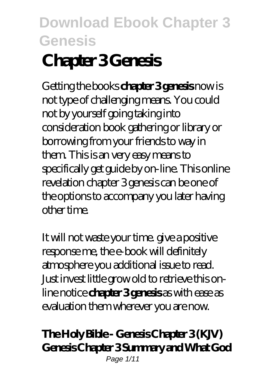# **Chapter 3 Genesis**

Getting the books **chapter 3 genesis** now is not type of challenging means. You could not by yourself going taking into consideration book gathering or library or borrowing from your friends to way in them. This is an very easy means to specifically get guide by on-line. This online revelation chapter 3 genesis can be one of the options to accompany you later having other time.

It will not waste your time. give a positive response me, the e-book will definitely atmosphere you additional issue to read. Just invest little grow old to retrieve this online notice **chapter 3 genesis** as with ease as evaluation them wherever you are now.

#### **The Holy Bible - Genesis Chapter 3 (KJV) Genesis Chapter 3 Summary and What God** Page 1/11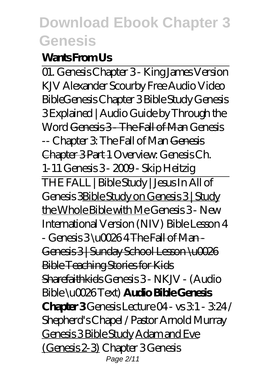#### **Wants From Us**

01. Genesis Chapter 3 - King James Version KJV Alexander Scourby Free Audio Video Bible*Genesis Chapter 3 Bible Study Genesis 3 Explained | Audio Guide by Through the Word* Genesis 3 - The Fall of Man *Genesis -- Chapter 3: The Fall of Man* Genesis Chapter 3 Part 1 *Overview: Genesis Ch. 1-11 Genesis 3 - 2009 - Skip Heitzig* THE FALL | Bible Study | Jesus In All of Genesis 3Bible Study on Genesis 3 | Study the Whole Bible with Me *Genesis 3 - New International Version (NIV) Bible Lesson 4 - Genesis 3 \u0026 4* The Fall of Man - Genesis 3 | Sunday School Lesson \u0026 Bible Teaching Stories for Kids Sharefaithkids Genesis 3 - NKJV - (Audio Bible \u0026 Text) **Audio Bible Genesis Chapter 3** *Genesis Lecture 04 - vs 3:1 - 3:24 / Shepherd's Chapel / Pastor Arnold Murray* Genesis 3 Bible Study Adam and Eve (Genesis 2-3) *Chapter 3 Genesis* Page 2/11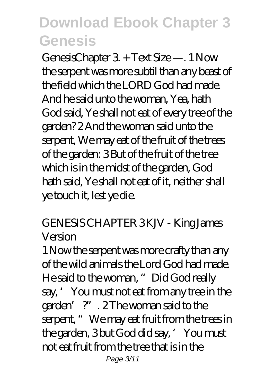GenesisChapter 3. + Text Size —. 1 Now the serpent was more subtil than any beast of the field which the LORD God had made. And he said unto the woman, Yea, hath God said, Ye shall not eat of every tree of the garden? 2 And the woman said unto the serpent, We may eat of the fruit of the trees of the garden: 3 But of the fruit of the tree which is in the midst of the garden, God hath said, Ye shall not eat of it, neither shall ye touch it, lest ye die.

#### *GENESIS CHAPTER 3 KJV - King James Version*

1 Now the serpent was more crafty than any of the wild animals the Lord God had made. He said to the woman, "Did God really say, 'You must not eat from any tree in the garden'?". 2 The woman said to the serpent, " We may eat fruit from the trees in the garden, 3 but God did say, 'You must not eat fruit from the tree that is in the Page 3/11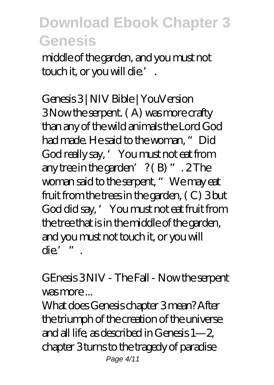middle of the garden, and you must not touch it, or you will die.'.

*Genesis 3 | NIV Bible | YouVersion* 3 Now the serpent. ( A) was more crafty than any of the wild animals the Lord God had made. He said to the woman, "Did God really say, 'You must not eat from any tree in the garden'  $?$  (B)  $"$  . 2 The woman said to the serpent, " We may eat fruit from the trees in the garden, ( C) 3 but God did say, 'You must not eat fruit from the tree that is in the middle of the garden, and you must not touch it, or you will die'".

#### *GEnesis 3 NIV - The Fall - Now the serpent was more ...*

What does Genesis chapter 3 mean? After the triumph of the creation of the universe and all life, as described in Genesis 1—2, chapter 3 turns to the tragedy of paradise Page 4/11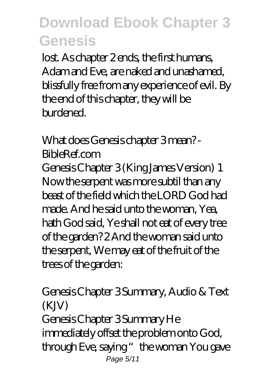lost. As chapter 2 ends, the first humans, Adam and Eve, are naked and unashamed, blissfully free from any experience of evil. By the end of this chapter, they will be burdened.

#### *What does Genesis chapter 3 mean? - BibleRef.com*

Genesis Chapter 3 (King James Version) 1 Now the serpent was more subtil than any beast of the field which the LORD God had made. And he said unto the woman, Yea, hath God said, Ye shall not eat of every tree of the garden? 2 And the woman said unto the serpent, We may eat of the fruit of the trees of the garden:

#### *Genesis Chapter 3 Summary, Audio & Text (KJV)* Genesis Chapter 3 Summary He immediately offset the problem onto God, through Eve, saying "the woman You gave Page 5/11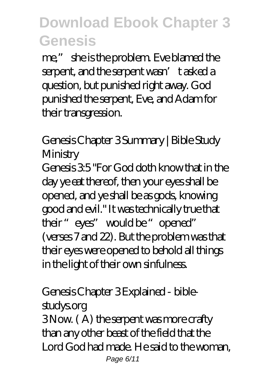me," she is the problem. Eve blamed the serpent, and the serpent wasn't asked a question, but punished right away. God punished the serpent, Eve, and Adam for their transgression.

*Genesis Chapter 3 Summary | Bible Study Ministry*

Genesis  $35$  "For God doth know that in the day ye eat thereof, then your eyes shall be opened, and ye shall be as gods, knowing good and evil." It was technically true that their "eyes" would be "opened" (verses 7 and 22). But the problem was that their eyes were opened to behold all things in the light of their own sinfulness.

# *Genesis Chapter 3 Explained - bible-*

*studys.org* 3 Now. ( A) the serpent was more crafty than any other beast of the field that the Lord God had made. He said to the woman, Page 6/11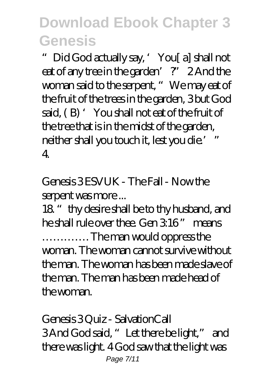"Did God actually say, 'You[ a] shall not eat of any tree in the garden'?" 2 And the woman said to the serpent, " We may eat of the fruit of the trees in the garden, 3 but God said, (B) 'You shall not eat of the fruit of the tree that is in the midst of the garden, neither shall you touch it, lest you die.' " 4.

*Genesis 3 ESVUK - The Fall - Now the serpent was more ...*

18. " thy desire shall be to thy husband, and he shall rule over thee. Gen 3:16" means …………. The man would oppress the woman. The woman cannot survive without the man. The woman has been made slave of the man. The man has been made head of the woman.

*Genesis 3 Quiz - SalvationCall* 3 And God said, "Let there be light," and there was light. 4 God saw that the light was Page 7/11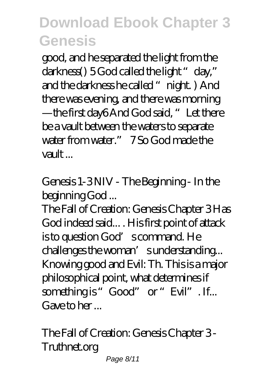good, and he separated the light from the darkness() 5 God called the light "day," and the darkness he called "night. ) And there was evening, and there was morning —the first day6 And God said, "Let there be a vault between the waters to separate water from water." 7 So God made the vault ...

*Genesis 1-3 NIV - The Beginning - In the beginning God ...*

The Fall of Creation: Genesis Chapter 3 Has God indeed said... . His first point of attack is to question God's command. He challenges the woman's understanding... Knowing good and Evil: Th. This is a major philosophical point, what determines if something is "Good" or "Evil". If... Gave to her ...

*The Fall of Creation: Genesis Chapter 3 - Truthnet.org* Page 8/11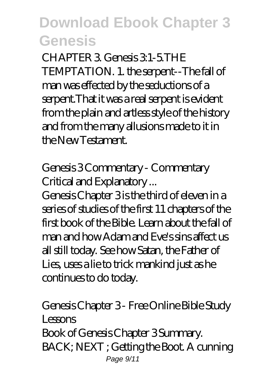CHAPTER 3. Genesis 3:1-5.THE TEMPTATION. 1. the serpent--The fall of man was effected by the seductions of a serpent.That it was a real serpent is evident from the plain and artless style of the history and from the many allusions made to it in the New Testament.

#### *Genesis 3 Commentary - Commentary Critical and Explanatory ...*

Genesis Chapter 3 is the third of eleven in a series of studies of the first 11 chapters of the first book of the Bible. Learn about the fall of man and how Adam and Eve's sins affect us all still today. See how Satan, the Father of Lies, uses a lie to trick mankind just as he continues to do today.

#### *Genesis Chapter 3 - Free Online Bible Study Lessons* Book of Genesis Chapter 3 Summary. BACK; NEXT ; Getting the Boot. A cunning Page 9/11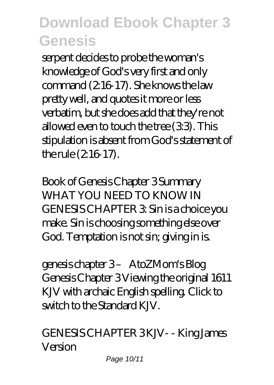serpent decides to probe the woman's knowledge of God's very first and only command (2:16-17). She knows the law pretty well, and quotes it more or less verbatim, but she does add that they're not allowed even to touch the tree  $(33)$ . This stipulation is absent from God's statement of the rule  $(216-17)$ .

*Book of Genesis Chapter 3 Summary* WHAT YOU NEED TO KNOW IN GENESIS CHAPTER 3: Sin is a choice you make. Sin is choosing something else over God. Temptation is not sin; giving in is.

*genesis chapter 3 – AtoZMom's Blog* Genesis Chapter 3 Viewing the original 1611 KJV with archaic English spelling. Click to switch to the Standard K $\overline{N}$ 

*GENESIS CHAPTER 3 KJV- - King James Version*

Page 10/11